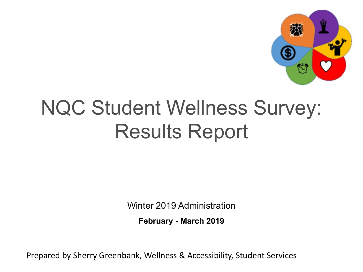

# NQC Student Wellness Survey: Results Report

Winter 2019 Administration

**February - March 2019**

Prepared by Sherry Greenbank, Wellness & Accessibility, Student Services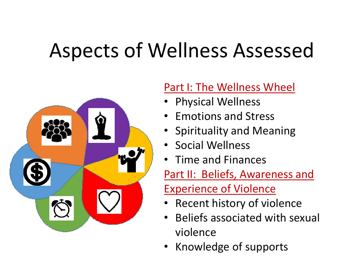# Aspects of Wellness Assessed



### Part I: The Wellness Wheel

- Physical Wellness
- Emotions and Stress
- Spirituality and Meaning
- Social Wellness
- Time and Finances

Part II: Beliefs, Awareness and Experience of Violence

- Recent history of violence
- Beliefs associated with sexual violence
- Knowledge of supports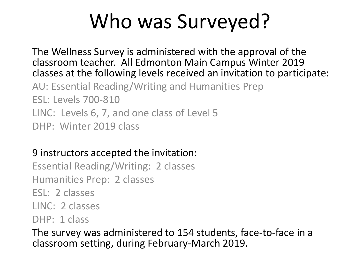# Who was Surveyed?

The Wellness Survey is administered with the approval of the classroom teacher. All Edmonton Main Campus Winter 2019 classes at the following levels received an invitation to participate: AU: Essential Reading/Writing and Humanities Prep ESL: Levels 700-810 LINC: Levels 6, 7, and one class of Level 5

DHP: Winter 2019 class

#### 9 instructors accepted the invitation:

Essential Reading/Writing: 2 classes Humanities Prep: 2 classes ESL: 2 classes LINC: 2 classes DHP: 1 class

The survey was administered to 154 students, face-to-face in a classroom setting, during February-March 2019.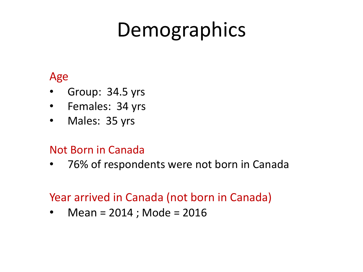# Demographics

### Age

- Group: 34.5 yrs
- Females: 34 yrs
- Males: 35 yrs

### Not Born in Canada

• 76% of respondents were not born in Canada

### Year arrived in Canada (not born in Canada)

• Mean = 2014 ; Mode = 2016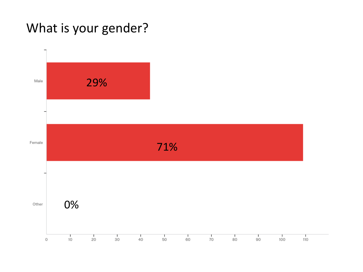### What is your gender?

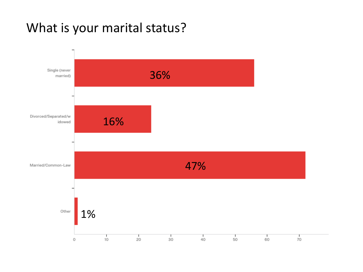## What is your marital status?

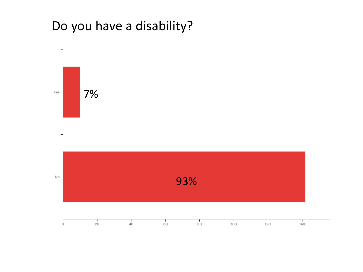### Do you have a disability?

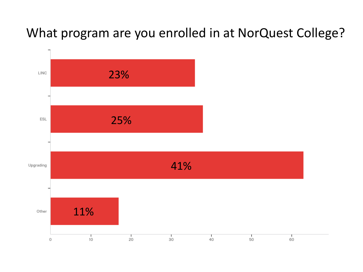### What program are you enrolled in at NorQuest College?

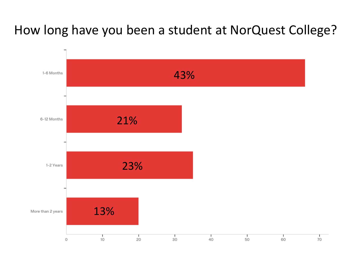## How long have you been a student at NorQuest College?

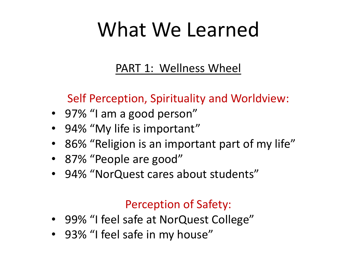### PART 1: Wellness Wheel

### Self Perception, Spirituality and Worldview:

- 97% "I am a good person"
- 94% "My life is important"
- 86% "Religion is an important part of my life"
- 87% "People are good"
- 94% "NorQuest cares about students"

### Perception of Safety:

- 99% "I feel safe at NorQuest College"
- 93% "I feel safe in my house"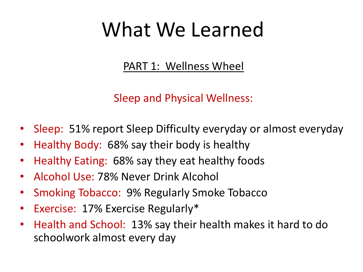### PART 1: Wellness Wheel

Sleep and Physical Wellness:

- Sleep: 51% report Sleep Difficulty everyday or almost everyday
- Healthy Body: 68% say their body is healthy
- Healthy Eating: 68% say they eat healthy foods
- Alcohol Use: 78% Never Drink Alcohol
- Smoking Tobacco: 9% Regularly Smoke Tobacco
- Exercise: 17% Exercise Regularly\*
- Health and School: 13% say their health makes it hard to do schoolwork almost every day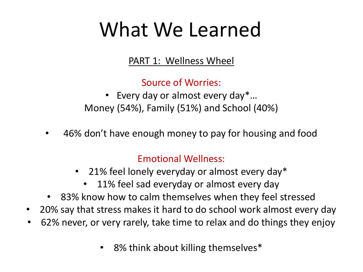PART 1: Wellness Wheel

Source of Worries:

• Every day or almost every day\*... Money (54%), Family (51%) and School (40%)

• 46% don't have enough money to pay for housing and food

#### Emotional Wellness:

- 21% feel lonely everyday or almost every day\*
	- 11% feel sad everyday or almost every day
- 83% know how to calm themselves when they feel stressed
- 20% say that stress makes it hard to do school work almost every day
- 62% never, or very rarely, take time to relax and do things they enjoy
	- 8% think about killing themselves\*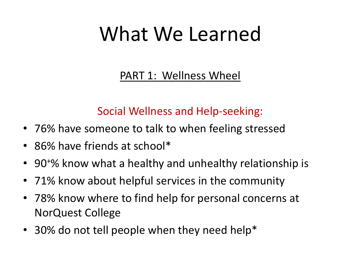PART 1: Wellness Wheel

### Social Wellness and Help-seeking:

- 76% have someone to talk to when feeling stressed
- 86% have friends at school\*
- 90<sup>+</sup>% know what a healthy and unhealthy relationship is
- 71% know about helpful services in the community
- 78% know where to find help for personal concerns at NorQuest College
- 30% do not tell people when they need help\*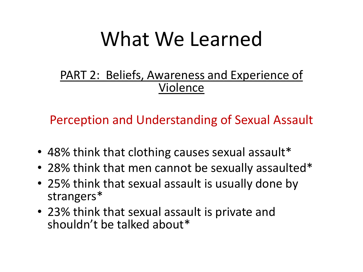### PART 2: Beliefs, Awareness and Experience of Violence

Perception and Understanding of Sexual Assault

- 48% think that clothing causes sexual assault\*
- 28% think that men cannot be sexually assaulted\*
- 25% think that sexual assault is usually done by strangers\*
- 23% think that sexual assault is private and shouldn't be talked about\*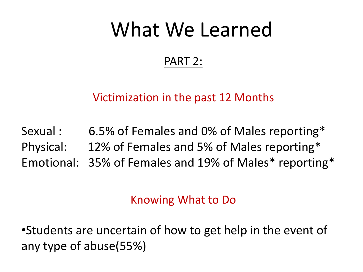### PART 2:

### Victimization in the past 12 Months

Sexual : 6.5% of Females and 0% of Males reporting\* Physical: 12% of Females and 5% of Males reporting\* Emotional: 35% of Females and 19% of Males\* reporting\*

### Knowing What to Do

•Students are uncertain of how to get help in the event of any type of abuse(55%)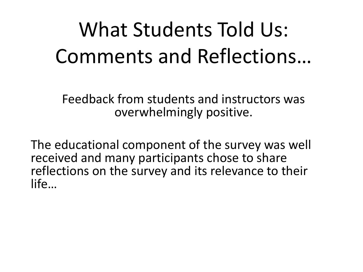# What Students Told Us: Comments and Reflections…

Feedback from students and instructors was overwhelmingly positive.

The educational component of the survey was well received and many participants chose to share reflections on the survey and its relevance to their life…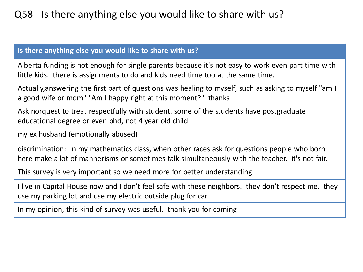#### **Is there anything else you would like to share with us?**

Alberta funding is not enough for single parents because it's not easy to work even part time with little kids. there is assignments to do and kids need time too at the same time.

Actually,answering the first part of questions was healing to myself, such as asking to myself "am I a good wife or mom" "Am I happy right at this moment?" thanks

Ask norquest to treat respectfully with student. some of the students have postgraduate educational degree or even phd, not 4 year old child.

my ex husband (emotionally abused)

discrimination: In my mathematics class, when other races ask for questions people who born here make a lot of mannerisms or sometimes talk simultaneously with the teacher. it's not fair.

This survey is very important so we need more for better understanding

I live in Capital House now and I don't feel safe with these neighbors. they don't respect me. they use my parking lot and use my electric outside plug for car.

In my opinion, this kind of survey was useful. thank you for coming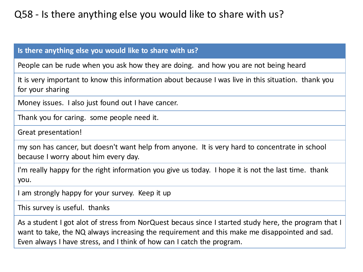#### **Is there anything else you would like to share with us?**

People can be rude when you ask how they are doing. and how you are not being heard

It is very important to know this information about because I was live in this situation. thank you for your sharing

Money issues. I also just found out I have cancer.

Thank you for caring. some people need it.

Great presentation!

my son has cancer, but doesn't want help from anyone. It is very hard to concentrate in school because I worry about him every day.

I'm really happy for the right information you give us today. I hope it is not the last time. thank you.

I am strongly happy for your survey. Keep it up

This survey is useful. thanks

As a student I got alot of stress from NorQuest becaus since I started study here, the program that I want to take, the NQ always increasing the requirement and this make me disappointed and sad. Even always I have stress, and I think of how can I catch the program.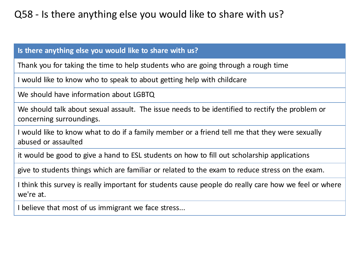#### **Is there anything else you would like to share with us?**

Thank you for taking the time to help students who are going through a rough time

I would like to know who to speak to about getting help with childcare

We should have information about LGBTQ

We should talk about sexual assault. The issue needs to be identified to rectify the problem or concerning surroundings.

I would like to know what to do if a family member or a friend tell me that they were sexually abused or assaulted

it would be good to give a hand to ESL students on how to fill out scholarship applications

give to students things which are familiar or related to the exam to reduce stress on the exam.

I think this survey is really important for students cause people do really care how we feel or where we're at.

I believe that most of us immigrant we face stress...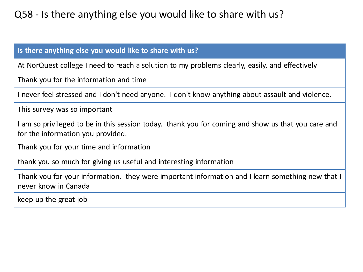#### **Is there anything else you would like to share with us?**

At NorQuest college I need to reach a solution to my problems clearly, easily, and effectively

Thank you for the information and time

I never feel stressed and I don't need anyone. I don't know anything about assault and violence.

This survey was so important

I am so privileged to be in this session today. thank you for coming and show us that you care and for the information you provided.

Thank you for your time and information

thank you so much for giving us useful and interesting information

Thank you for your information. they were important information and I learn something new that I never know in Canada

keep up the great job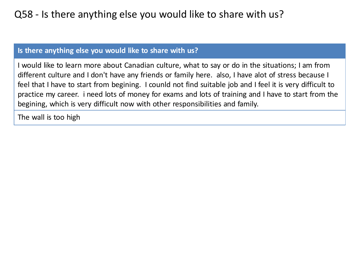#### **Is there anything else you would like to share with us?**

I would like to learn more about Canadian culture, what to say or do in the situations; I am from different culture and I don't have any friends or family here. also, I have alot of stress because I feel that I have to start from begining. I counld not find suitable job and I feel it is very difficult to practice my career. i need lots of money for exams and lots of training and I have to start from the begining, which is very difficult now with other responsibilities and family.

The wall is too high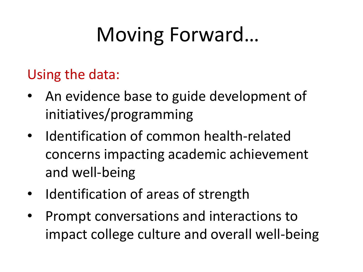# Moving Forward…

## Using the data:

- An evidence base to guide development of initiatives/programming
- Identification of common health-related concerns impacting academic achievement and well-being
- Identification of areas of strength
- Prompt conversations and interactions to impact college culture and overall well-being